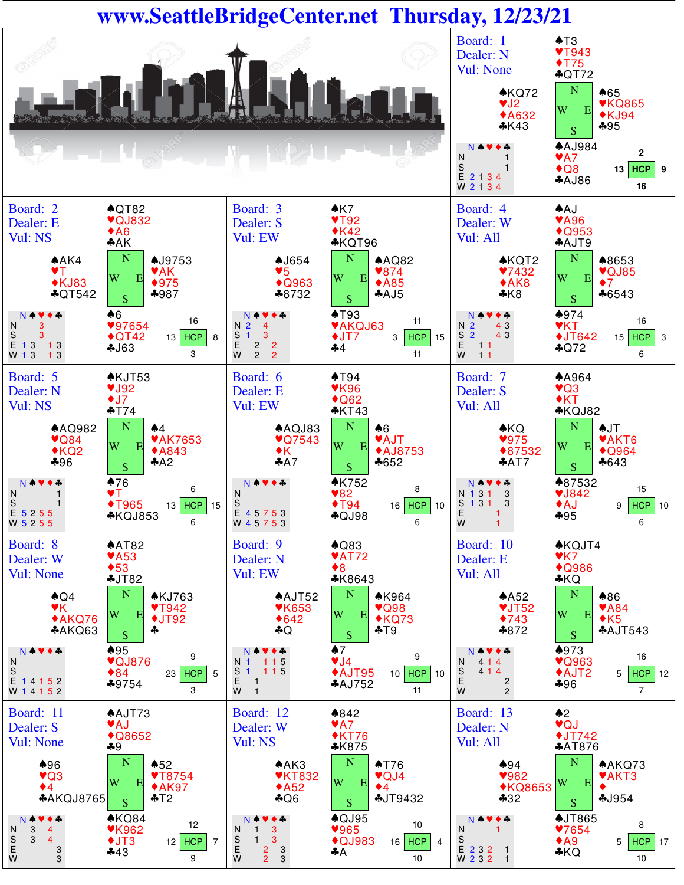## **www.SeattleBridgeCenter.net Thursday, 12/23/21**